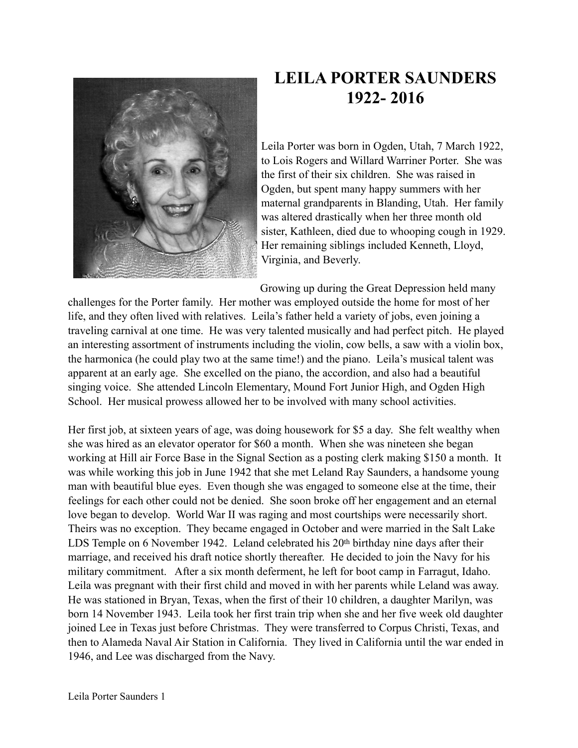

## **LEILA PORTER SAUNDERS 1922- 2016**

Leila Porter was born in Ogden, Utah, 7 March 1922, to Lois Rogers and Willard Warriner Porter. She was the first of their six children. She was raised in Ogden, but spent many happy summers with her maternal grandparents in Blanding, Utah. Her family was altered drastically when her three month old sister, Kathleen, died due to whooping cough in 1929. Her remaining siblings included Kenneth, Lloyd, Virginia, and Beverly.

Growing up during the Great Depression held many

challenges for the Porter family. Her mother was employed outside the home for most of her life, and they often lived with relatives. Leila's father held a variety of jobs, even joining a traveling carnival at one time. He was very talented musically and had perfect pitch. He played an interesting assortment of instruments including the violin, cow bells, a saw with a violin box, the harmonica (he could play two at the same time!) and the piano. Leila's musical talent was apparent at an early age. She excelled on the piano, the accordion, and also had a beautiful singing voice. She attended Lincoln Elementary, Mound Fort Junior High, and Ogden High School. Her musical prowess allowed her to be involved with many school activities.

Her first job, at sixteen years of age, was doing housework for \$5 a day. She felt wealthy when she was hired as an elevator operator for \$60 a month. When she was nineteen she began working at Hill air Force Base in the Signal Section as a posting clerk making \$150 a month. It was while working this job in June 1942 that she met Leland Ray Saunders, a handsome young man with beautiful blue eyes. Even though she was engaged to someone else at the time, their feelings for each other could not be denied. She soon broke off her engagement and an eternal love began to develop. World War II was raging and most courtships were necessarily short. Theirs was no exception. They became engaged in October and were married in the Salt Lake LDS Temple on 6 November 1942. Leland celebrated his 20<sup>th</sup> birthday nine days after their marriage, and received his draft notice shortly thereafter. He decided to join the Navy for his military commitment. After a six month deferment, he left for boot camp in Farragut, Idaho. Leila was pregnant with their first child and moved in with her parents while Leland was away. He was stationed in Bryan, Texas, when the first of their 10 children, a daughter Marilyn, was born 14 November 1943. Leila took her first train trip when she and her five week old daughter joined Lee in Texas just before Christmas. They were transferred to Corpus Christi, Texas, and then to Alameda Naval Air Station in California. They lived in California until the war ended in 1946, and Lee was discharged from the Navy.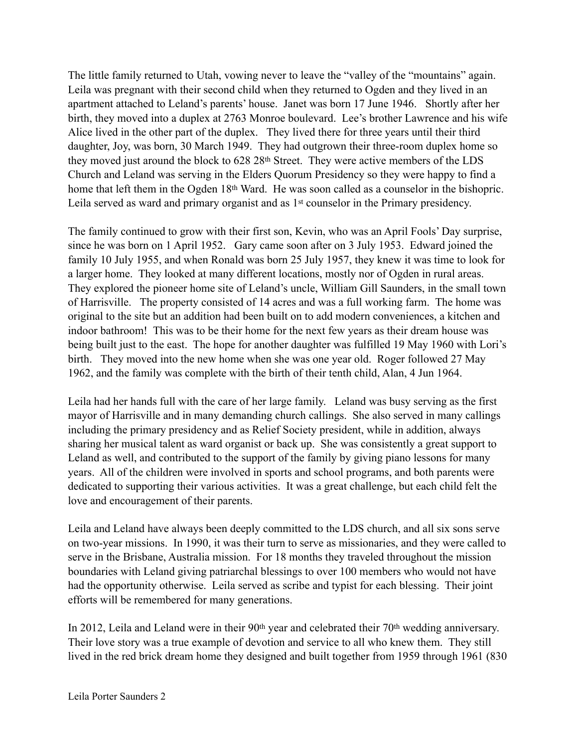The little family returned to Utah, vowing never to leave the "valley of the "mountains" again. Leila was pregnant with their second child when they returned to Ogden and they lived in an apartment attached to Leland's parents' house. Janet was born 17 June 1946. Shortly after her birth, they moved into a duplex at 2763 Monroe boulevard. Lee's brother Lawrence and his wife Alice lived in the other part of the duplex. They lived there for three years until their third daughter, Joy, was born, 30 March 1949. They had outgrown their three-room duplex home so they moved just around the block to 628 28<sup>th</sup> Street. They were active members of the LDS Church and Leland was serving in the Elders Quorum Presidency so they were happy to find a home that left them in the Ogden 18th Ward. He was soon called as a counselor in the bishopric. Leila served as ward and primary organist and as 1st counselor in the Primary presidency.

The family continued to grow with their first son, Kevin, who was an April Fools' Day surprise, since he was born on 1 April 1952. Gary came soon after on 3 July 1953. Edward joined the family 10 July 1955, and when Ronald was born 25 July 1957, they knew it was time to look for a larger home. They looked at many different locations, mostly nor of Ogden in rural areas. They explored the pioneer home site of Leland's uncle, William Gill Saunders, in the small town of Harrisville. The property consisted of 14 acres and was a full working farm. The home was original to the site but an addition had been built on to add modern conveniences, a kitchen and indoor bathroom! This was to be their home for the next few years as their dream house was being built just to the east. The hope for another daughter was fulfilled 19 May 1960 with Lori's birth. They moved into the new home when she was one year old. Roger followed 27 May 1962, and the family was complete with the birth of their tenth child, Alan, 4 Jun 1964.

Leila had her hands full with the care of her large family. Leland was busy serving as the first mayor of Harrisville and in many demanding church callings. She also served in many callings including the primary presidency and as Relief Society president, while in addition, always sharing her musical talent as ward organist or back up. She was consistently a great support to Leland as well, and contributed to the support of the family by giving piano lessons for many years. All of the children were involved in sports and school programs, and both parents were dedicated to supporting their various activities. It was a great challenge, but each child felt the love and encouragement of their parents.

Leila and Leland have always been deeply committed to the LDS church, and all six sons serve on two-year missions. In 1990, it was their turn to serve as missionaries, and they were called to serve in the Brisbane, Australia mission. For 18 months they traveled throughout the mission boundaries with Leland giving patriarchal blessings to over 100 members who would not have had the opportunity otherwise. Leila served as scribe and typist for each blessing. Their joint efforts will be remembered for many generations.

In 2012, Leila and Leland were in their 90th year and celebrated their 70th wedding anniversary. Their love story was a true example of devotion and service to all who knew them. They still lived in the red brick dream home they designed and built together from 1959 through 1961 (830